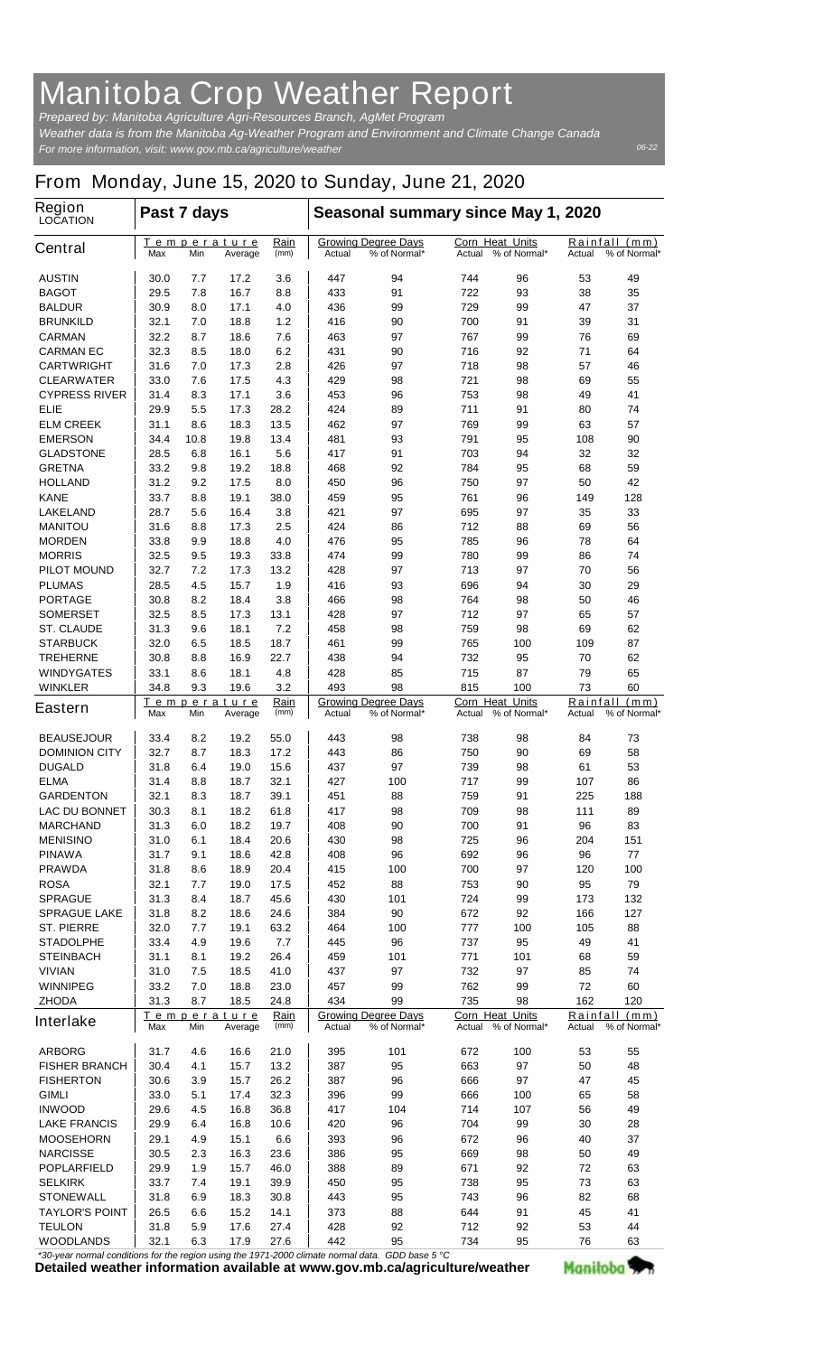## **Manitoba Crop Weather Report**

*For more information, visit: www.gov.mb.ca/agriculture/weather Prepared by: Manitoba Agriculture Agri-Resources Branch, AgMet Program Weather data is from the Manitoba Ag-Weather Program and Environment and Climate Change Canada*

## **From Monday, June 15, 2020 to Sunday, June 21, 2020**

| <b>Region</b><br><b>LOCATION</b> | Past 7 days                                                        |                                               |              |                                                      | Seasonal summary since May 1, 2020                                            |                                                  |                                                  |                                            |                                         |                               |
|----------------------------------|--------------------------------------------------------------------|-----------------------------------------------|--------------|------------------------------------------------------|-------------------------------------------------------------------------------|--------------------------------------------------|--------------------------------------------------|--------------------------------------------|-----------------------------------------|-------------------------------|
| <b>Central</b>                   | Max                                                                | Temperature<br>Min                            | Average      | <u>Rain</u><br>(mm)                                  | Actual                                                                        | <b>Growing Degree Days</b><br>% of Normal*       | <b>Corn Heat Units</b><br>Actual                 | % of Normal*                               | Actual                                  | Rainfall (mm)<br>% of Normal* |
| <b>AUSTIN</b>                    | 30.0                                                               | 7.7                                           | 17.2         | 3.6                                                  | 447                                                                           | 94                                               | 744                                              | 96                                         | 53                                      | 49                            |
| <b>BAGOT</b>                     | 29.5                                                               | 7.8                                           | 16.7         | 8.8                                                  | 433                                                                           | 91                                               | 722                                              | 93                                         | 38                                      | 35                            |
| <b>BALDUR</b>                    | 30.9                                                               | 8.0                                           | 17.1         | 4.0                                                  | 436                                                                           | 99                                               | 729                                              | 99                                         | 47                                      | 37                            |
| <b>BRUNKILD</b>                  | 32.1                                                               | 7.0                                           | 18.8         | 1.2                                                  | 416                                                                           | 90                                               | 700                                              | 91                                         | 39                                      | 31                            |
| <b>CARMAN</b>                    | 32.2                                                               | 8.7                                           | 18.6         | 7.6                                                  | 463                                                                           | 97                                               | 767                                              | 99                                         | 76                                      | 69                            |
| <b>CARMAN EC</b>                 | 32.3                                                               | 8.5                                           | 18.0         | 6.2                                                  | 431                                                                           | 90                                               | 716                                              | 92                                         | 71                                      | 64                            |
| <b>CARTWRIGHT</b>                | 31.6                                                               | 7.0                                           | 17.3         | 2.8                                                  | 426                                                                           | 97                                               | 718                                              | 98                                         | 57                                      | 46                            |
| <b>CLEARWATER</b>                | 33.0                                                               | 7.6                                           | 17.5         | 4.3                                                  | 429                                                                           | 98                                               | 721                                              | 98                                         | 69                                      | 55                            |
| <b>CYPRESS RIVER</b>             | 31.4                                                               | 8.3                                           | 17.1         | 3.6                                                  | 453                                                                           | 96                                               | 753                                              | 98                                         | 49                                      | 41                            |
| ELIE<br><b>ELM CREEK</b>         | 29.9<br>31.1                                                       | 5.5<br>8.6                                    | 17.3         | 28.2<br>13.5                                         | 424<br>462                                                                    | 89                                               | 711<br>769                                       | 91                                         | 80                                      | 74<br>57                      |
| <b>EMERSON</b>                   | 34.4                                                               | 10.8                                          | 18.3<br>19.8 | 13.4                                                 | 481                                                                           | 97<br>93                                         | 791                                              | 99<br>95                                   | 63<br>108                               | 90                            |
| <b>GLADSTONE</b>                 | 28.5                                                               | 6.8                                           | 16.1         | 5.6                                                  | 417                                                                           | 91                                               | 703                                              | 94                                         | 32                                      | 32                            |
| <b>GRETNA</b>                    | 33.2                                                               | 9.8                                           | 19.2         | 18.8                                                 | 468                                                                           | 92                                               | 784                                              | 95                                         | 68                                      | 59                            |
| <b>HOLLAND</b>                   | 31.2                                                               | 9.2                                           | 17.5         | 8.0                                                  | 450                                                                           | 96                                               | 750                                              | 97                                         | 50                                      | 42                            |
| <b>KANE</b>                      | 33.7                                                               | 8.8                                           | 19.1         | 38.0                                                 | 459                                                                           | 95                                               | 761                                              | 96                                         | 149                                     | 128                           |
| <b>LAKELAND</b>                  | 28.7                                                               | 5.6                                           | 16.4         | 3.8                                                  | 421                                                                           | 97                                               | 695                                              | 97                                         | 35                                      | 33                            |
| <b>MANITOU</b>                   | 31.6                                                               | 8.8                                           | 17.3         | 2.5                                                  | 424                                                                           | 86                                               | 712                                              | 88                                         | 69                                      | 56                            |
| <b>MORDEN</b>                    | 33.8                                                               | 9.9                                           | 18.8         | 4.0                                                  | 476                                                                           | 95                                               | 785                                              | 96                                         | 78                                      | 64                            |
| <b>MORRIS</b>                    | 32.5                                                               | 9.5                                           | 19.3         | 33.8                                                 | 474                                                                           | 99                                               | 780                                              | 99                                         | 86                                      | 74                            |
| <b>PILOT MOUND</b>               | 32.7                                                               | 7.2                                           | 17.3         | 13.2                                                 | 428                                                                           | 97                                               | 713                                              | 97                                         | 70                                      | 56                            |
| <b>PLUMAS</b>                    | 28.5                                                               | 4.5                                           | 15.7         | 1.9                                                  | 416                                                                           | 93                                               | 696                                              | 94                                         | 30                                      | 29                            |
| <b>PORTAGE</b>                   | 30.8                                                               | 8.2                                           | 18.4         | 3.8                                                  | 466                                                                           | 98                                               | 764                                              | 98                                         | 50                                      | 46                            |
| <b>SOMERSET</b>                  | 32.5                                                               | 8.5                                           | 17.3         | 13.1                                                 | 428                                                                           | 97                                               | 712                                              | 97                                         | 65                                      | 57                            |
| <b>ST. CLAUDE</b>                | 31.3                                                               | 9.6                                           | 18.1         | 7.2                                                  | 458                                                                           | 98                                               | 759                                              | 98                                         | 69                                      | 62                            |
| <b>STARBUCK</b>                  | 32.0                                                               | 6.5                                           | 18.5         | 18.7                                                 | 461                                                                           | 99                                               | 765                                              | 100                                        | 109                                     | 87                            |
| <b>TREHERNE</b>                  | 30.8                                                               | 8.8                                           | 16.9         | 22.7                                                 | 438                                                                           | 94                                               | 732                                              | 95                                         | 70                                      | 62                            |
| <b>WINDYGATES</b>                | 33.1                                                               | 8.6                                           | 18.1         | 4.8                                                  | 428                                                                           | 85                                               | 715                                              | 87                                         | 79                                      | 65                            |
| <b>WINKLER</b>                   | 34.8                                                               | 9.3                                           | 19.6         | 3.2                                                  | 493                                                                           | 98                                               | 815                                              | 100                                        | 73                                      | 60                            |
| <b>Eastern</b>                   | Max                                                                | Temperature<br>Rain<br>Min<br>Average<br>(mm) |              |                                                      | <b>Growing Degree Days</b><br>Actual<br>% of Normal*                          |                                                  | <b>Corn Heat Units</b><br>% of Normal*<br>Actual |                                            | Rainfall (mm)<br>% of Normal*<br>Actual |                               |
| <b>BEAUSEJOUR</b>                | 33.4                                                               | 8.2                                           | 19.2         | 55.0                                                 | 443                                                                           | 98                                               | 738                                              | 98                                         | 84                                      | 73                            |
| <b>DOMINION CITY</b>             | 32.7                                                               | 8.7                                           | 18.3         | 17.2                                                 | 443                                                                           | 86                                               | 750                                              | 90                                         | 69                                      | 58                            |
| <b>DUGALD</b>                    | 31.8                                                               | 6.4                                           | 19.0         | 15.6                                                 | 437                                                                           | 97                                               | 739                                              | 98                                         | 61                                      | 53                            |
| <b>ELMA</b>                      | 31.4                                                               | 8.8                                           | 18.7         | 32.1                                                 | 427                                                                           | 100                                              | 717                                              | 99                                         | 107                                     | 86                            |
| <b>GARDENTON</b>                 | 32.1                                                               | 8.3                                           | 18.7         | 39.1                                                 | 451                                                                           | 88                                               | 759                                              | 91                                         | 225                                     | 188                           |
| <b>LAC DU BONNET</b>             | 30.3                                                               | 8.1                                           | 18.2         | 61.8                                                 | 417                                                                           | 98                                               | 709                                              | 98                                         | 111                                     | 89                            |
| <b>MARCHAND</b>                  | 31.3                                                               | 6.0                                           | 18.2         | 19.7                                                 | 408                                                                           | 90                                               | 700                                              | 91                                         | 96                                      | 83                            |
| <b>MENISINO</b>                  | 31.0                                                               | 6.1                                           | 18.4         | 20.6                                                 | 430                                                                           | 98                                               | 725                                              | 96                                         | 204                                     | 151                           |
| <b>PINAWA</b>                    | 31.7                                                               | 9.1                                           | 18.6         | 42.8                                                 | 408                                                                           | 96                                               | 692                                              | 96                                         | 96                                      | 77                            |
| <b>PRAWDA</b>                    | 31.8                                                               | 8.6                                           | 18.9         | 20.4                                                 | 415                                                                           | 100                                              | 700                                              | 97                                         | 120                                     | 100                           |
| <b>ROSA</b>                      | 32.1                                                               | 7.7                                           | 19.0         | 17.5                                                 | 452                                                                           | 88                                               | 753                                              | 90                                         | 95                                      | 79                            |
| <b>SPRAGUE</b>                   | 31.3                                                               | 8.4                                           | 18.7         | 45.6                                                 | 430                                                                           | 101                                              | 724                                              | 99                                         | 173                                     | 132                           |
| <b>SPRAGUE LAKE</b>              | 31.8                                                               | 8.2                                           | 18.6         | 24.6                                                 | 384                                                                           | 90                                               | 672                                              | 92                                         | 166                                     | 127                           |
| <b>ST. PIERRE</b>                | 32.0                                                               | 7.7                                           | 19.1         | 63.2                                                 | 464                                                                           | 100                                              | 777                                              | 100                                        | 105                                     | 88                            |
| <b>STADOLPHE</b>                 | 33.4                                                               | 4.9                                           | 19.6         | 7.7                                                  | 445                                                                           | 96                                               | 737                                              | 95                                         | 49                                      | 41                            |
| <b>STEINBACH</b>                 | 31.1                                                               | 8.1                                           | 19.2         | 26.4                                                 | 459                                                                           | 101                                              | 771                                              | 101                                        | 68                                      | 59                            |
| <b>VIVIAN</b>                    | 31.0                                                               | 7.5                                           | 18.5         | 41.0                                                 | 437                                                                           | 97                                               | 732                                              | 97                                         | 85                                      | 74                            |
| <b>WINNIPEG</b>                  | 33.2                                                               | 7.0                                           | 18.8         | 23.0                                                 | 457                                                                           | 99                                               | 762                                              | 99                                         | 72                                      | 60                            |
| <b>ZHODA</b>                     | 31.3                                                               | 8.7                                           | 18.5         | 24.8                                                 | 434                                                                           | 99                                               | 735                                              | 98                                         | 162                                     | 120                           |
| <b>Interlake</b>                 | <u>Rain</u><br><u>Temperature</u><br>(mm)<br>Max<br>Min<br>Average |                                               |              | <b>Growing Degree Days</b><br>% of Normal*<br>Actual |                                                                               | <b>Corn Heat Units</b><br>Actual<br>% of Normal* |                                                  | Rainfall<br>(mm)<br>Actual<br>% of Normal* |                                         |                               |
| <b>ARBORG</b>                    | 31.7                                                               | 4.6                                           | 16.6         | 21.0                                                 | 395                                                                           | 101                                              | 672                                              | 100                                        | 53                                      | 55                            |
| <b>FISHER BRANCH</b>             | 30.4                                                               | 4.1                                           | 15.7         | 13.2                                                 | 387                                                                           | 95                                               | 663                                              | 97                                         | 50                                      | 48                            |
| <b>FISHERTON</b>                 | 30.6                                                               | 3.9                                           | 15.7         | 26.2                                                 | 387                                                                           | 96                                               | 666                                              | 97                                         | 47                                      | 45                            |
| <b>GIMLI</b>                     | 33.0                                                               | 5.1                                           | 17.4         | 32.3                                                 | 396                                                                           | 99                                               | 666                                              | 100                                        | 65                                      | 58                            |
| <b>INWOOD</b>                    | 29.6                                                               | 4.5                                           | 16.8         | 36.8                                                 | 417                                                                           | 104                                              | 714                                              | 107                                        | 56                                      | 49                            |
| <b>LAKE FRANCIS</b>              | 29.9                                                               | 6.4                                           | 16.8         | 10.6                                                 | 420                                                                           | 96                                               | 704                                              | 99                                         | 30                                      | 28                            |
| <b>MOOSEHORN</b>                 | 29.1                                                               | 4.9                                           | 15.1         | 6.6                                                  | 393                                                                           | 96                                               | 672                                              | 96                                         | 40                                      | 37                            |
| <b>NARCISSE</b>                  | 30.5                                                               | 2.3                                           | 16.3         | 23.6                                                 | 386                                                                           | 95                                               | 669                                              | 98                                         | 50                                      | 49                            |
| <b>POPLARFIELD</b>               | 29.9                                                               | 1.9                                           | 15.7         | 46.0                                                 | 388                                                                           | 89                                               | 671                                              | 92                                         | 72                                      | 63                            |
| <b>SELKIRK</b>                   | 33.7                                                               | 7.4                                           | 19.1         | 39.9                                                 | 450                                                                           | 95                                               | 738                                              | 95                                         | 73                                      | 63                            |
| <b>STONEWALL</b>                 | 31.8                                                               | 6.9                                           | 18.3         | 30.8                                                 | 443                                                                           | 95                                               | 743                                              | 96                                         | 82                                      | 68                            |
| <b>TAYLOR'S POINT</b>            | 26.5                                                               | 6.6                                           | 15.2         | 14.1                                                 | 373                                                                           | 88                                               | 644                                              | 91                                         | 45                                      | 41                            |
| <b>TEULON</b>                    | 31.8                                                               | 5.9                                           | 17.6         | 27.4                                                 | 428                                                                           | 92                                               | 712                                              | 92                                         | 53                                      | 44                            |
| WOODLANDS                        | 32.1                                                               | 6.3                                           | 17.9         | 27.6                                                 | 442<br>unal conditions for the region uning the 1071.0000 elimete normal dete | 95<br>CDD <sub>h</sub>                           | 734                                              | 95                                         | 76                                      | 63                            |

*\*30-year normal conditions for the region using the 1971-2000 climate normal data. GDD base 5 °C*<br>Detailed weather information available at www.gov.mb.ca/agriculture/weather

Manitoba<sup>y</sup>